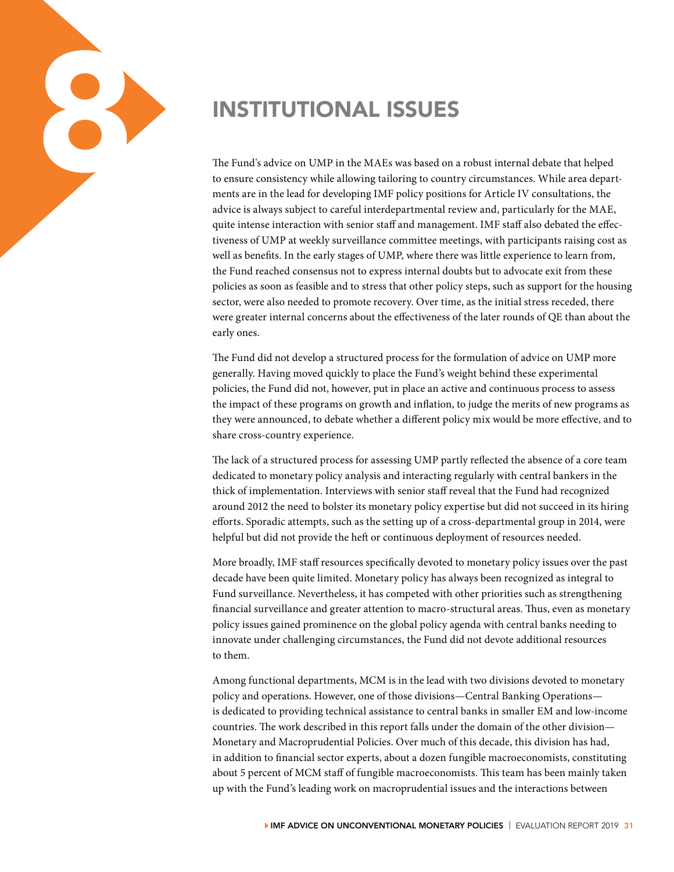

to ensure consistency while allowing tailoring to country circumstances. While area departments are in the lead for developing IMF policy positions for Article IV consultations, the advice is always subject to careful interdepartmental review and, particularly for the MAE, quite intense interaction with senior staff and management. IMF staff also debated the effectiveness of UMP at weekly surveillance committee meetings, with participants raising cost as well as benefits. In the early stages of UMP, where there was little experience to learn from, the Fund reached consensus not to express internal doubts but to advocate exit from these policies as soon as feasible and to stress that other policy steps, such as support for the housing sector, were also needed to promote recovery. Over time, as the initial stress receded, there were greater internal concerns about the effectiveness of the later rounds of QE than about the early ones.

The Fund did not develop a structured process for the formulation of advice on UMP more generally. Having moved quickly to place the Fund's weight behind these experimental policies, the Fund did not, however, put in place an active and continuous process to assess the impact of these programs on growth and inflation, to judge the merits of new programs as they were announced, to debate whether a different policy mix would be more effective, and to share cross-country experience.

The lack of a structured process for assessing UMP partly reflected the absence of a core team dedicated to monetary policy analysis and interacting regularly with central bankers in the thick of implementation. Interviews with senior staff reveal that the Fund had recognized around 2012 the need to bolster its monetary policy expertise but did not succeed in its hiring efforts. Sporadic attempts, such as the setting up of a cross-departmental group in 2014, were helpful but did not provide the heft or continuous deployment of resources needed.

More broadly, IMF staff resources specifically devoted to monetary policy issues over the past decade have been quite limited. Monetary policy has always been recognized as integral to Fund surveillance. Nevertheless, it has competed with other priorities such as strengthening financial surveillance and greater attention to macro-structural areas. Thus, even as monetary policy issues gained prominence on the global policy agenda with central banks needing to innovate under challenging circumstances, the Fund did not devote additional resources to them.

Among functional departments, MCM is in the lead with two divisions devoted to monetary policy and operations. However, one of those divisions—Central Banking Operations is dedicated to providing technical assistance to central banks in smaller EM and low-income countries. The work described in this report falls under the domain of the other division— Monetary and Macroprudential Policies. Over much of this decade, this division has had, in addition to financial sector experts, about a dozen fungible macroeconomists, constituting about 5 percent of MCM staff of fungible macroeconomists. This team has been mainly taken up with the Fund's leading work on macroprudential issues and the interactions between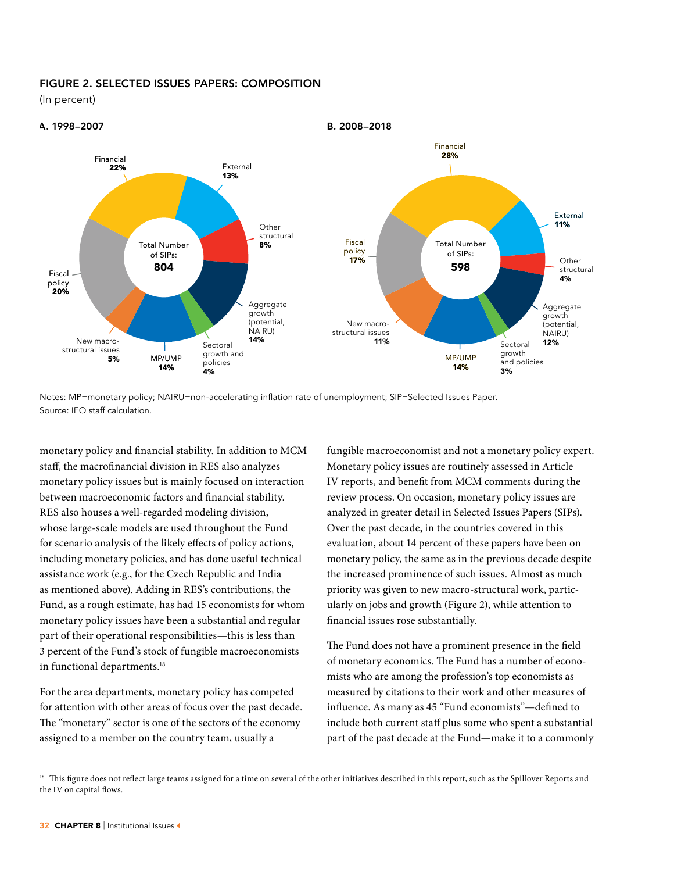### FIGURE 2. SELECTED ISSUES PAPERS: COMPOSITION

(In percent)



Notes: MP=monetary policy; NAIRU=non-accelerating inflation rate of unemployment; SIP=Selected Issues Paper. Source: IEO staff calculation.

monetary policy and financial stability. In addition to MCM staff, the macrofinancial division in RES also analyzes monetary policy issues but is mainly focused on interaction between macroeconomic factors and financial stability. RES also houses a well-regarded modeling division, whose large-scale models are used throughout the Fund for scenario analysis of the likely effects of policy actions, including monetary policies, and has done useful technical assistance work (e.g., for the Czech Republic and India as mentioned above). Adding in RES's contributions, the Fund, as a rough estimate, has had 15 economists for whom monetary policy issues have been a substantial and regular part of their operational responsibilities—this is less than 3 percent of the Fund's stock of fungible macroeconomists in functional departments.<sup>18</sup>

For the area departments, monetary policy has competed for attention with other areas of focus over the past decade. The "monetary" sector is one of the sectors of the economy assigned to a member on the country team, usually a

fungible macroeconomist and not a monetary policy expert. Monetary policy issues are routinely assessed in Article IV reports, and benefit from MCM comments during the review process. On occasion, monetary policy issues are analyzed in greater detail in Selected Issues Papers (SIPs). Over the past decade, in the countries covered in this evaluation, about 14 percent of these papers have been on monetary policy, the same as in the previous decade despite the increased prominence of such issues. Almost as much priority was given to new macro-structural work, particularly on jobs and growth (Figure 2), while attention to financial issues rose substantially.

The Fund does not have a prominent presence in the field of monetary economics. The Fund has a number of economists who are among the profession's top economists as measured by citations to their work and other measures of influence. As many as 45 "Fund economists"—defined to include both current staff plus some who spent a substantial part of the past decade at the Fund—make it to a commonly

<sup>&</sup>lt;sup>18</sup> This figure does not reflect large teams assigned for a time on several of the other initiatives described in this report, such as the Spillover Reports and the IV on capital flows.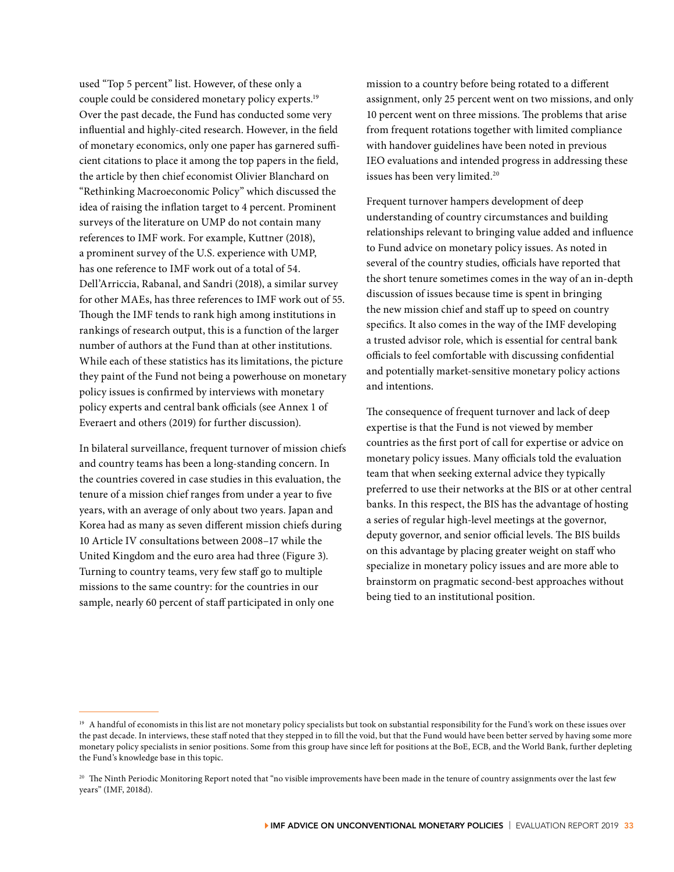used "Top 5 percent" list. However, of these only a couple could be considered monetary policy experts.19 Over the past decade, the Fund has conducted some very influential and highly-cited research. However, in the field of monetary economics, only one paper has garnered sufficient citations to place it among the top papers in the field, the article by then chief economist Olivier Blanchard on "Rethinking Macroeconomic Policy" which discussed the idea of raising the inflation target to 4 percent. Prominent surveys of the literature on UMP do not contain many references to IMF work. For example, Kuttner (2018), a prominent survey of the U.S. experience with UMP, has one reference to IMF work out of a total of 54. Dell'Arriccia, Rabanal, and Sandri (2018), a similar survey for other MAEs, has three references to IMF work out of 55. Though the IMF tends to rank high among institutions in rankings of research output, this is a function of the larger number of authors at the Fund than at other institutions. While each of these statistics has its limitations, the picture they paint of the Fund not being a powerhouse on monetary policy issues is confirmed by interviews with monetary policy experts and central bank officials (see Annex 1 of Everaert and others (2019) for further discussion).

In bilateral surveillance, frequent turnover of mission chiefs and country teams has been a long-standing concern. In the countries covered in case studies in this evaluation, the tenure of a mission chief ranges from under a year to five years, with an average of only about two years. Japan and Korea had as many as seven different mission chiefs during 10 Article IV consultations between 2008–17 while the United Kingdom and the euro area had three (Figure 3). Turning to country teams, very few staff go to multiple missions to the same country: for the countries in our sample, nearly 60 percent of staff participated in only one

mission to a country before being rotated to a different assignment, only 25 percent went on two missions, and only 10 percent went on three missions. The problems that arise from frequent rotations together with limited compliance with handover guidelines have been noted in previous IEO evaluations and intended progress in addressing these issues has been very limited.20

Frequent turnover hampers development of deep understanding of country circumstances and building relationships relevant to bringing value added and influence to Fund advice on monetary policy issues. As noted in several of the country studies, officials have reported that the short tenure sometimes comes in the way of an in-depth discussion of issues because time is spent in bringing the new mission chief and staff up to speed on country specifics. It also comes in the way of the IMF developing a trusted advisor role, which is essential for central bank officials to feel comfortable with discussing confidential and potentially market-sensitive monetary policy actions and intentions.

The consequence of frequent turnover and lack of deep expertise is that the Fund is not viewed by member countries as the first port of call for expertise or advice on monetary policy issues. Many officials told the evaluation team that when seeking external advice they typically preferred to use their networks at the BIS or at other central banks. In this respect, the BIS has the advantage of hosting a series of regular high-level meetings at the governor, deputy governor, and senior official levels. The BIS builds on this advantage by placing greater weight on staff who specialize in monetary policy issues and are more able to brainstorm on pragmatic second-best approaches without being tied to an institutional position.

<sup>&</sup>lt;sup>19</sup> A handful of economists in this list are not monetary policy specialists but took on substantial responsibility for the Fund's work on these issues over the past decade. In interviews, these staff noted that they stepped in to fill the void, but that the Fund would have been better served by having some more monetary policy specialists in senior positions. Some from this group have since left for positions at the BoE, ECB, and the World Bank, further depleting the Fund's knowledge base in this topic.

<sup>&</sup>lt;sup>20</sup> The Ninth Periodic Monitoring Report noted that "no visible improvements have been made in the tenure of country assignments over the last few years" (IMF, 2018d).